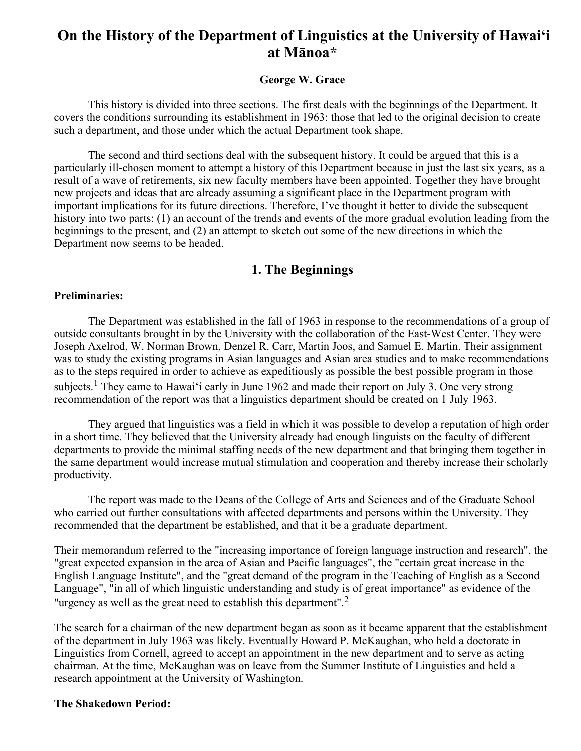# **On the History of the Department of Linguistics at the University of Hawai'i at Mānoa\***

## **George W. Grace**

This history is divided into three sections. The first deals with the beginnings of the Department. It covers the conditions surrounding its establishment in 1963: those that led to the original decision to create such a department, and those under which the actual Department took shape.

The second and third sections deal with the subsequent history. It could be argued that this is a particularly ill-chosen moment to attempt a history of this Department because in just the last six years, as a result of a wave of retirements, six new faculty members have been appointed. Together they have brought new projects and ideas that are already assuming a significant place in the Department program with important implications for its future directions. Therefore, I've thought it better to divide the subsequent history into two parts: (1) an account of the trends and events of the more gradual evolution leading from the beginnings to the present, and (2) an attempt to sketch out some of the new directions in which the Department now seems to be headed.

# **1. The Beginnings**

#### **Preliminaries:**

The Department was established in the fall of 1963 in response to the recommendations of a group of outside consultants brought in by the University with the collaboration of the East-West Center. They were Joseph Axelrod, W. Norman Brown, Denzel R. Carr, Martin Joos, and Samuel E. Martin. Their assignment was to study the existing programs in Asian languages and Asian area studies and to make recommendations as to the steps required in order to achieve as expeditiously as possible the best possible program in those subjects.<sup>1</sup> They came to Hawai'i early in June 1962 and made their report on July 3. One very strong recommendation of the report was that a linguistics department should be created on 1 July 1963.

They argued that linguistics was a field in which it was possible to develop a reputation of high order in a short time. They believed that the University already had enough linguists on the faculty of different departments to provide the minimal staffing needs of the new department and that bringing them together in the same department would increase mutual stimulation and cooperation and thereby increase their scholarly productivity.

The report was made to the Deans of the College of Arts and Sciences and of the Graduate School who carried out further consultations with affected departments and persons within the University. They recommended that the department be established, and that it be a graduate department.

Their memorandum referred to the "increasing importance of foreign language instruction and research", the "great expected expansion in the area of Asian and Pacific languages", the "certain great increase in the English Language Institute", and the "great demand of the program in the Teaching of English as a Second Language", "in all of which linguistic understanding and study is of great importance" as evidence of the "urgency as well as the great need to establish this department".<sup>2</sup>

The search for a chairman of the new department began as soon as it became apparent that the establishment of the department in July 1963 was likely. Eventually Howard P. McKaughan, who held a doctorate in Linguistics from Cornell, agreed to accept an appointment in the new department and to serve as acting chairman. At the time, McKaughan was on leave from the Summer Institute of Linguistics and held a research appointment at the University of Washington.

#### **The Shakedown Period:**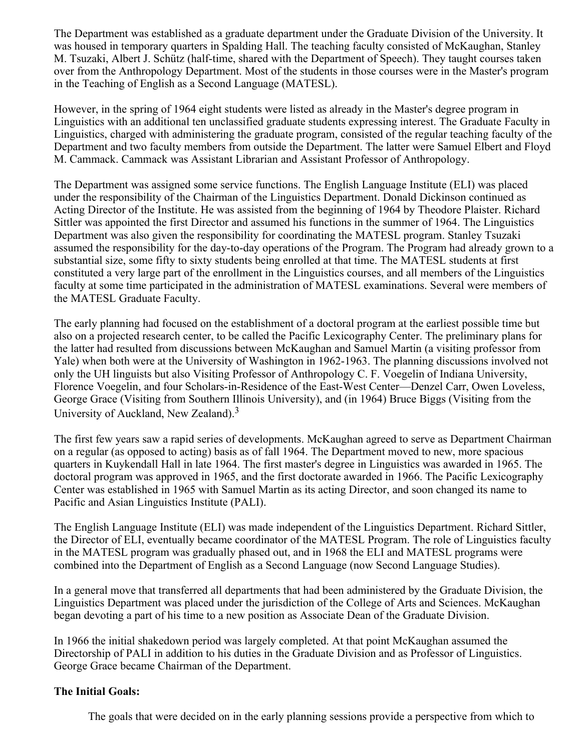The Department was established as a graduate department under the Graduate Division of the University. It was housed in temporary quarters in Spalding Hall. The teaching faculty consisted of McKaughan, Stanley M. Tsuzaki, Albert J. Schütz (half-time, shared with the Department of Speech). They taught courses taken over from the Anthropology Department. Most of the students in those courses were in the Master's program in the Teaching of English as a Second Language (MATESL).

However, in the spring of 1964 eight students were listed as already in the Master's degree program in Linguistics with an additional ten unclassified graduate students expressing interest. The Graduate Faculty in Linguistics, charged with administering the graduate program, consisted of the regular teaching faculty of the Department and two faculty members from outside the Department. The latter were Samuel Elbert and Floyd M. Cammack. Cammack was Assistant Librarian and Assistant Professor of Anthropology.

The Department was assigned some service functions. The English Language Institute (ELI) was placed under the responsibility of the Chairman of the Linguistics Department. Donald Dickinson continued as Acting Director of the Institute. He was assisted from the beginning of 1964 by Theodore Plaister. Richard Sittler was appointed the first Director and assumed his functions in the summer of 1964. The Linguistics Department was also given the responsibility for coordinating the MATESL program. Stanley Tsuzaki assumed the responsibility for the day-to-day operations of the Program. The Program had already grown to a substantial size, some fifty to sixty students being enrolled at that time. The MATESL students at first constituted a very large part of the enrollment in the Linguistics courses, and all members of the Linguistics faculty at some time participated in the administration of MATESL examinations. Several were members of the MATESL Graduate Faculty.

The early planning had focused on the establishment of a doctoral program at the earliest possible time but also on a projected research center, to be called the Pacific Lexicography Center. The preliminary plans for the latter had resulted from discussions between McKaughan and Samuel Martin (a visiting professor from Yale) when both were at the University of Washington in 1962-1963. The planning discussions involved not only the UH linguists but also Visiting Professor of Anthropology C. F. Voegelin of Indiana University, Florence Voegelin, and four Scholars-in-Residence of the East-West Center—Denzel Carr, Owen Loveless, George Grace (Visiting from Southern Illinois University), and (in 1964) Bruce Biggs (Visiting from the University of Auckland, New Zealand).<sup>3</sup>

The first few years saw a rapid series of developments. McKaughan agreed to serve as Department Chairman on a regular (as opposed to acting) basis as of fall 1964. The Department moved to new, more spacious quarters in Kuykendall Hall in late 1964. The first master's degree in Linguistics was awarded in 1965. The doctoral program was approved in 1965, and the first doctorate awarded in 1966. The Pacific Lexicography Center was established in 1965 with Samuel Martin as its acting Director, and soon changed its name to Pacific and Asian Linguistics Institute (PALI).

The English Language Institute (ELI) was made independent of the Linguistics Department. Richard Sittler, the Director of ELI, eventually became coordinator of the MATESL Program. The role of Linguistics faculty in the MATESL program was gradually phased out, and in 1968 the ELI and MATESL programs were combined into the Department of English as a Second Language (now Second Language Studies).

In a general move that transferred all departments that had been administered by the Graduate Division, the Linguistics Department was placed under the jurisdiction of the College of Arts and Sciences. McKaughan began devoting a part of his time to a new position as Associate Dean of the Graduate Division.

In 1966 the initial shakedown period was largely completed. At that point McKaughan assumed the Directorship of PALI in addition to his duties in the Graduate Division and as Professor of Linguistics. George Grace became Chairman of the Department.

## **The Initial Goals:**

The goals that were decided on in the early planning sessions provide a perspective from which to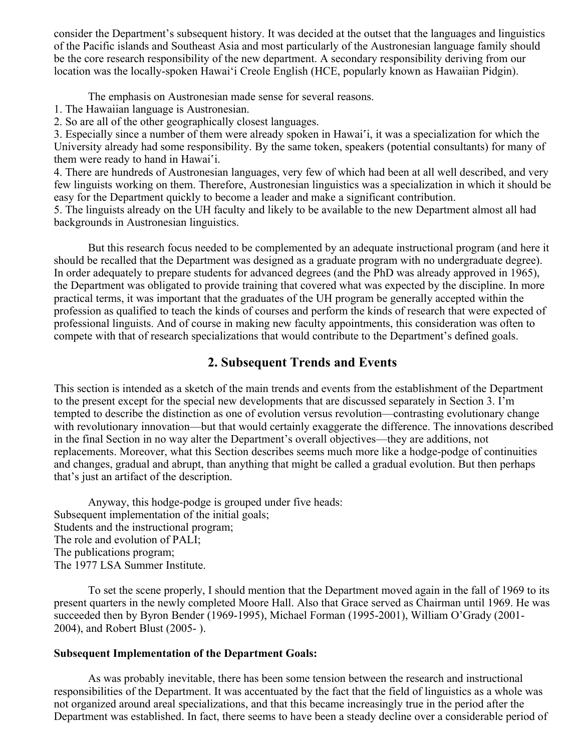consider the Department's subsequent history. It was decided at the outset that the languages and linguistics of the Pacific islands and Southeast Asia and most particularly of the Austronesian language family should be the core research responsibility of the new department. A secondary responsibility deriving from our location was the locally-spoken Hawai'i Creole English (HCE, popularly known as Hawaiian Pidgin).

The emphasis on Austronesian made sense for several reasons.

1. The Hawaiian language is Austronesian.

2. So are all of the other geographically closest languages.

3. Especially since a number of them were already spoken in Hawai'i, it was a specialization for which the University already had some responsibility. By the same token, speakers (potential consultants) for many of them were ready to hand in Hawai'i.

4. There are hundreds of Austronesian languages, very few of which had been at all well described, and very few linguists working on them. Therefore, Austronesian linguistics was a specialization in which it should be easy for the Department quickly to become a leader and make a significant contribution.

5. The linguists already on the UH faculty and likely to be available to the new Department almost all had backgrounds in Austronesian linguistics.

But this research focus needed to be complemented by an adequate instructional program (and here it should be recalled that the Department was designed as a graduate program with no undergraduate degree). In order adequately to prepare students for advanced degrees (and the PhD was already approved in 1965), the Department was obligated to provide training that covered what was expected by the discipline. In more practical terms, it was important that the graduates of the UH program be generally accepted within the profession as qualified to teach the kinds of courses and perform the kinds of research that were expected of professional linguists. And of course in making new faculty appointments, this consideration was often to compete with that of research specializations that would contribute to the Department's defined goals.

# **2. Subsequent Trends and Events**

This section is intended as a sketch of the main trends and events from the establishment of the Department to the present except for the special new developments that are discussed separately in Section 3. I'm tempted to describe the distinction as one of evolution versus revolution—contrasting evolutionary change with revolutionary innovation—but that would certainly exaggerate the difference. The innovations described in the final Section in no way alter the Department's overall objectives—they are additions, not replacements. Moreover, what this Section describes seems much more like a hodge-podge of continuities and changes, gradual and abrupt, than anything that might be called a gradual evolution. But then perhaps that's just an artifact of the description.

Anyway, this hodge-podge is grouped under five heads: Subsequent implementation of the initial goals; Students and the instructional program; The role and evolution of PALI; The publications program; The 1977 LSA Summer Institute.

To set the scene properly, I should mention that the Department moved again in the fall of 1969 to its present quarters in the newly completed Moore Hall. Also that Grace served as Chairman until 1969. He was succeeded then by Byron Bender (1969-1995), Michael Forman (1995-2001), William O'Grady (2001- 2004), and Robert Blust (2005- ).

#### **Subsequent Implementation of the Department Goals:**

As was probably inevitable, there has been some tension between the research and instructional responsibilities of the Department. It was accentuated by the fact that the field of linguistics as a whole was not organized around areal specializations, and that this became increasingly true in the period after the Department was established. In fact, there seems to have been a steady decline over a considerable period of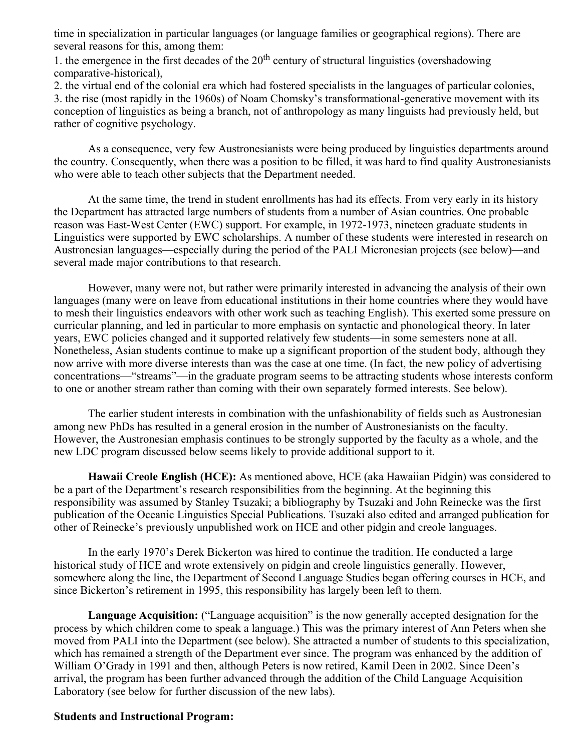time in specialization in particular languages (or language families or geographical regions). There are several reasons for this, among them:

1. the emergence in the first decades of the  $20<sup>th</sup>$  century of structural linguistics (overshadowing comparative-historical),

2. the virtual end of the colonial era which had fostered specialists in the languages of particular colonies, 3. the rise (most rapidly in the 1960s) of Noam Chomsky's transformational-generative movement with its conception of linguistics as being a branch, not of anthropology as many linguists had previously held, but rather of cognitive psychology.

As a consequence, very few Austronesianists were being produced by linguistics departments around the country. Consequently, when there was a position to be filled, it was hard to find quality Austronesianists who were able to teach other subjects that the Department needed.

At the same time, the trend in student enrollments has had its effects. From very early in its history the Department has attracted large numbers of students from a number of Asian countries. One probable reason was East-West Center (EWC) support. For example, in 1972-1973, nineteen graduate students in Linguistics were supported by EWC scholarships. A number of these students were interested in research on Austronesian languages—especially during the period of the PALI Micronesian projects (see below)—and several made major contributions to that research.

However, many were not, but rather were primarily interested in advancing the analysis of their own languages (many were on leave from educational institutions in their home countries where they would have to mesh their linguistics endeavors with other work such as teaching English). This exerted some pressure on curricular planning, and led in particular to more emphasis on syntactic and phonological theory. In later years, EWC policies changed and it supported relatively few students—in some semesters none at all. Nonetheless, Asian students continue to make up a significant proportion of the student body, although they now arrive with more diverse interests than was the case at one time. (In fact, the new policy of advertising concentrations—"streams"—in the graduate program seems to be attracting students whose interests conform to one or another stream rather than coming with their own separately formed interests. See below).

The earlier student interests in combination with the unfashionability of fields such as Austronesian among new PhDs has resulted in a general erosion in the number of Austronesianists on the faculty. However, the Austronesian emphasis continues to be strongly supported by the faculty as a whole, and the new LDC program discussed below seems likely to provide additional support to it.

**Hawaii Creole English (HCE):** As mentioned above, HCE (aka Hawaiian Pidgin) was considered to be a part of the Department's research responsibilities from the beginning. At the beginning this responsibility was assumed by Stanley Tsuzaki; a bibliography by Tsuzaki and John Reinecke was the first publication of the Oceanic Linguistics Special Publications. Tsuzaki also edited and arranged publication for other of Reinecke's previously unpublished work on HCE and other pidgin and creole languages.

In the early 1970's Derek Bickerton was hired to continue the tradition. He conducted a large historical study of HCE and wrote extensively on pidgin and creole linguistics generally. However, somewhere along the line, the Department of Second Language Studies began offering courses in HCE, and since Bickerton's retirement in 1995, this responsibility has largely been left to them.

**Language Acquisition:** ("Language acquisition" is the now generally accepted designation for the process by which children come to speak a language.) This was the primary interest of Ann Peters when she moved from PALI into the Department (see below). She attracted a number of students to this specialization, which has remained a strength of the Department ever since. The program was enhanced by the addition of William O'Grady in 1991 and then, although Peters is now retired, Kamil Deen in 2002. Since Deen's arrival, the program has been further advanced through the addition of the Child Language Acquisition Laboratory (see below for further discussion of the new labs).

#### **Students and Instructional Program:**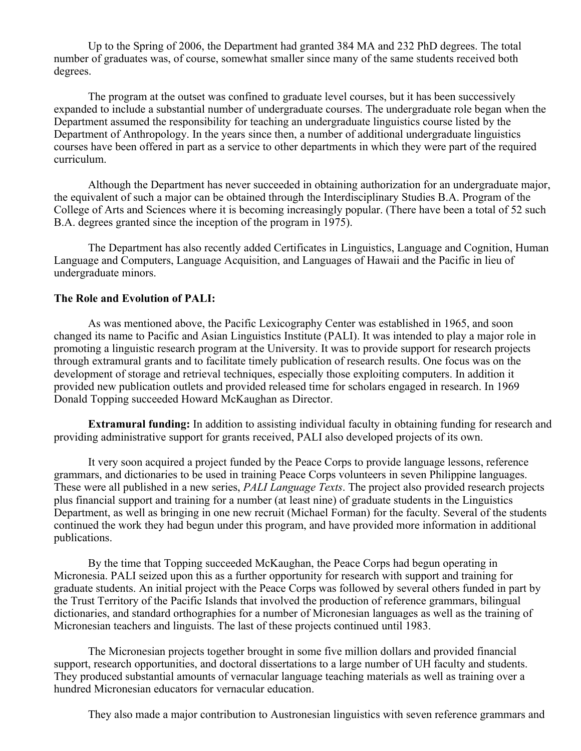Up to the Spring of 2006, the Department had granted 384 MA and 232 PhD degrees. The total number of graduates was, of course, somewhat smaller since many of the same students received both degrees.

The program at the outset was confined to graduate level courses, but it has been successively expanded to include a substantial number of undergraduate courses. The undergraduate role began when the Department assumed the responsibility for teaching an undergraduate linguistics course listed by the Department of Anthropology. In the years since then, a number of additional undergraduate linguistics courses have been offered in part as a service to other departments in which they were part of the required curriculum.

Although the Department has never succeeded in obtaining authorization for an undergraduate major, the equivalent of such a major can be obtained through the Interdisciplinary Studies B.A. Program of the College of Arts and Sciences where it is becoming increasingly popular. (There have been a total of 52 such B.A. degrees granted since the inception of the program in 1975).

The Department has also recently added Certificates in Linguistics, Language and Cognition, Human Language and Computers, Language Acquisition, and Languages of Hawaii and the Pacific in lieu of undergraduate minors.

#### **The Role and Evolution of PALI:**

As was mentioned above, the Pacific Lexicography Center was established in 1965, and soon changed its name to Pacific and Asian Linguistics Institute (PALI). It was intended to play a major role in promoting a linguistic research program at the University. It was to provide support for research projects through extramural grants and to facilitate timely publication of research results. One focus was on the development of storage and retrieval techniques, especially those exploiting computers. In addition it provided new publication outlets and provided released time for scholars engaged in research. In 1969 Donald Topping succeeded Howard McKaughan as Director.

**Extramural funding:** In addition to assisting individual faculty in obtaining funding for research and providing administrative support for grants received, PALI also developed projects of its own.

It very soon acquired a project funded by the Peace Corps to provide language lessons, reference grammars, and dictionaries to be used in training Peace Corps volunteers in seven Philippine languages. These were all published in a new series, *PALI Language Texts*. The project also provided research projects plus financial support and training for a number (at least nine) of graduate students in the Linguistics Department, as well as bringing in one new recruit (Michael Forman) for the faculty. Several of the students continued the work they had begun under this program, and have provided more information in additional publications.

By the time that Topping succeeded McKaughan, the Peace Corps had begun operating in Micronesia. PALI seized upon this as a further opportunity for research with support and training for graduate students. An initial project with the Peace Corps was followed by several others funded in part by the Trust Territory of the Pacific Islands that involved the production of reference grammars, bilingual dictionaries, and standard orthographies for a number of Micronesian languages as well as the training of Micronesian teachers and linguists. The last of these projects continued until 1983.

The Micronesian projects together brought in some five million dollars and provided financial support, research opportunities, and doctoral dissertations to a large number of UH faculty and students. They produced substantial amounts of vernacular language teaching materials as well as training over a hundred Micronesian educators for vernacular education.

They also made a major contribution to Austronesian linguistics with seven reference grammars and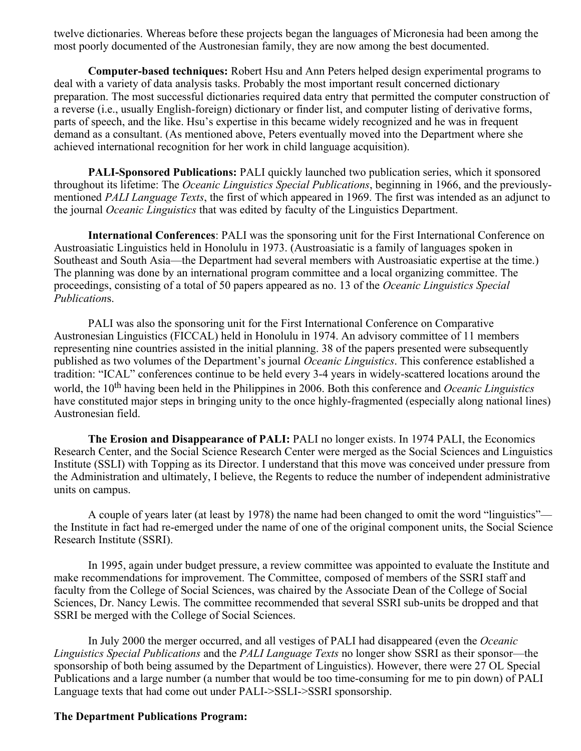twelve dictionaries. Whereas before these projects began the languages of Micronesia had been among the most poorly documented of the Austronesian family, they are now among the best documented.

**Computer-based techniques:** Robert Hsu and Ann Peters helped design experimental programs to deal with a variety of data analysis tasks. Probably the most important result concerned dictionary preparation. The most successful dictionaries required data entry that permitted the computer construction of a reverse (i.e., usually English-foreign) dictionary or finder list, and computer listing of derivative forms, parts of speech, and the like. Hsu's expertise in this became widely recognized and he was in frequent demand as a consultant. (As mentioned above, Peters eventually moved into the Department where she achieved international recognition for her work in child language acquisition).

**PALI-Sponsored Publications:** PALI quickly launched two publication series, which it sponsored throughout its lifetime: The *Oceanic Linguistics Special Publications*, beginning in 1966, and the previouslymentioned *PALI Language Texts*, the first of which appeared in 1969. The first was intended as an adjunct to the journal *Oceanic Linguistics* that was edited by faculty of the Linguistics Department.

**International Conferences**: PALI was the sponsoring unit for the First International Conference on Austroasiatic Linguistics held in Honolulu in 1973. (Austroasiatic is a family of languages spoken in Southeast and South Asia—the Department had several members with Austroasiatic expertise at the time.) The planning was done by an international program committee and a local organizing committee. The proceedings, consisting of a total of 50 papers appeared as no. 13 of the *Oceanic Linguistics Special Publication*s.

PALI was also the sponsoring unit for the First International Conference on Comparative Austronesian Linguistics (FICCAL) held in Honolulu in 1974. An advisory committee of 11 members representing nine countries assisted in the initial planning. 38 of the papers presented were subsequently published as two volumes of the Department's journal *Oceanic Linguistics*. This conference established a tradition: "ICAL" conferences continue to be held every 3-4 years in widely-scattered locations around the world, the 10<sup>th</sup> having been held in the Philippines in 2006. Both this conference and *Oceanic Linguistics* have constituted major steps in bringing unity to the once highly-fragmented (especially along national lines) Austronesian field.

**The Erosion and Disappearance of PALI:** PALI no longer exists. In 1974 PALI, the Economics Research Center, and the Social Science Research Center were merged as the Social Sciences and Linguistics Institute (SSLI) with Topping as its Director. I understand that this move was conceived under pressure from the Administration and ultimately, I believe, the Regents to reduce the number of independent administrative units on campus.

A couple of years later (at least by 1978) the name had been changed to omit the word "linguistics" the Institute in fact had re-emerged under the name of one of the original component units, the Social Science Research Institute (SSRI).

In 1995, again under budget pressure, a review committee was appointed to evaluate the Institute and make recommendations for improvement. The Committee, composed of members of the SSRI staff and faculty from the College of Social Sciences, was chaired by the Associate Dean of the College of Social Sciences, Dr. Nancy Lewis. The committee recommended that several SSRI sub-units be dropped and that SSRI be merged with the College of Social Sciences.

In July 2000 the merger occurred, and all vestiges of PALI had disappeared (even the *Oceanic Linguistics Special Publications* and the *PALI Language Texts* no longer show SSRI as their sponsor—the sponsorship of both being assumed by the Department of Linguistics). However, there were 27 OL Special Publications and a large number (a number that would be too time-consuming for me to pin down) of PALI Language texts that had come out under PALI->SSLI->SSRI sponsorship.

#### **The Department Publications Program:**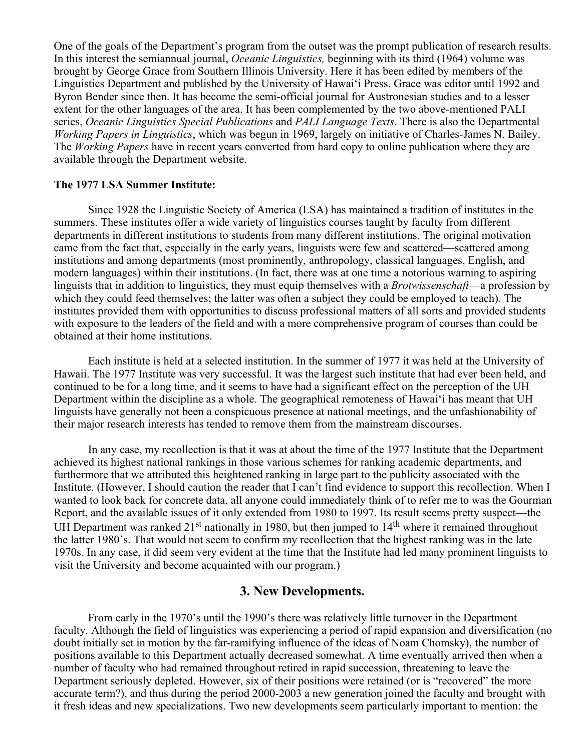One of the goals of the Department's program from the outset was the prompt publication of research results. In this interest the semiannual journal, *Oceanic Linguistics,* beginning with its third (1964) volume was brought by George Grace from Southern Illinois University. Here it has been edited by members of the Linguistics Department and published by the University of Hawai'i Press. Grace was editor until 1992 and Byron Bender since then. It has become the semi-official journal for Austronesian studies and to a lesser extent for the other languages of the area. It has been complemented by the two above-mentioned PALI series, *Oceanic Linguistics Special Publications* and *PALI Language Texts*. There is also the Departmental *Working Papers in Linguistics*, which was begun in 1969, largely on initiative of Charles-James N. Bailey. The *Working Papers* have in recent years converted from hard copy to online publication where they are available through the Department website.

#### **The 1977 LSA Summer Institute:**

Since 1928 the Linguistic Society of America (LSA) has maintained a tradition of institutes in the summers. These institutes offer a wide variety of linguistics courses taught by faculty from different departments in different institutions to students from many different institutions. The original motivation came from the fact that, especially in the early years, linguists were few and scattered—scattered among institutions and among departments (most prominently, anthropology, classical languages, English, and modern languages) within their institutions. (In fact, there was at one time a notorious warning to aspiring linguists that in addition to linguistics, they must equip themselves with a *Brotwissenschaft*—a profession by which they could feed themselves; the latter was often a subject they could be employed to teach). The institutes provided them with opportunities to discuss professional matters of all sorts and provided students with exposure to the leaders of the field and with a more comprehensive program of courses than could be obtained at their home institutions.

Each institute is held at a selected institution. In the summer of 1977 it was held at the University of Hawaii. The 1977 Institute was very successful. It was the largest such institute that had ever been held, and continued to be for a long time, and it seems to have had a significant effect on the perception of the UH Department within the discipline as a whole. The geographical remoteness of Hawai'i has meant that UH linguists have generally not been a conspicuous presence at national meetings, and the unfashionability of their major research interests has tended to remove them from the mainstream discourses.

In any case, my recollection is that it was at about the time of the 1977 Institute that the Department achieved its highest national rankings in those various schemes for ranking academic departments, and furthermore that we attributed this heightened ranking in large part to the publicity associated with the Institute. (However, I should caution the reader that I can't find evidence to support this recollection. When I wanted to look back for concrete data, all anyone could immediately think of to refer me to was the Gourman Report, and the available issues of it only extended from 1980 to 1997. Its result seems pretty suspect—the UH Department was ranked 21<sup>st</sup> nationally in 1980, but then jumped to 14<sup>th</sup> where it remained throughout the latter 1980's. That would not seem to confirm my recollection that the highest ranking was in the late 1970s. In any case, it did seem very evident at the time that the Institute had led many prominent linguists to visit the University and become acquainted with our program.)

## **3. New Developments.**

From early in the 1970's until the 1990's there was relatively little turnover in the Department faculty. Although the field of linguistics was experiencing a period of rapid expansion and diversification (no doubt initially set in motion by the far-ramifying influence of the ideas of Noam Chomsky), the number of positions available to this Department actually decreased somewhat. A time eventually arrived then when a number of faculty who had remained throughout retired in rapid succession, threatening to leave the Department seriously depleted. However, six of their positions were retained (or is "recovered" the more accurate term?), and thus during the period 2000-2003 a new generation joined the faculty and brought with it fresh ideas and new specializations. Two new developments seem particularly important to mention: the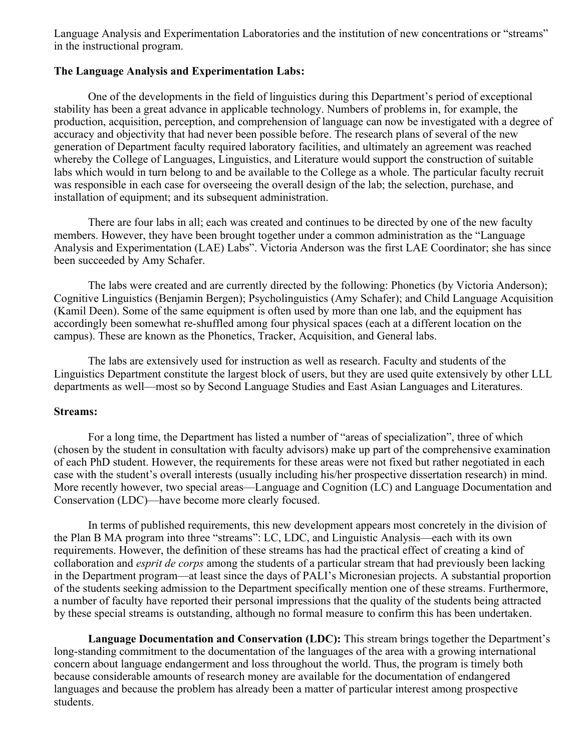Language Analysis and Experimentation Laboratories and the institution of new concentrations or "streams" in the instructional program.

#### **The Language Analysis and Experimentation Labs:**

One of the developments in the field of linguistics during this Department's period of exceptional stability has been a great advance in applicable technology. Numbers of problems in, for example, the production, acquisition, perception, and comprehension of language can now be investigated with a degree of accuracy and objectivity that had never been possible before. The research plans of several of the new generation of Department faculty required laboratory facilities, and ultimately an agreement was reached whereby the College of Languages, Linguistics, and Literature would support the construction of suitable labs which would in turn belong to and be available to the College as a whole. The particular faculty recruit was responsible in each case for overseeing the overall design of the lab; the selection, purchase, and installation of equipment; and its subsequent administration.

There are four labs in all; each was created and continues to be directed by one of the new faculty members. However, they have been brought together under a common administration as the "Language Analysis and Experimentation (LAE) Labs". Victoria Anderson was the first LAE Coordinator; she has since been succeeded by Amy Schafer.

The labs were created and are currently directed by the following: Phonetics (by Victoria Anderson); Cognitive Linguistics (Benjamin Bergen); Psycholinguistics (Amy Schafer); and Child Language Acquisition (Kamil Deen). Some of the same equipment is often used by more than one lab, and the equipment has accordingly been somewhat re-shuffled among four physical spaces (each at a different location on the campus). These are known as the Phonetics, Tracker, Acquisition, and General labs.

The labs are extensively used for instruction as well as research. Faculty and students of the Linguistics Department constitute the largest block of users, but they are used quite extensively by other LLL departments as well—most so by Second Language Studies and East Asian Languages and Literatures.

#### **Streams:**

For a long time, the Department has listed a number of "areas of specialization", three of which (chosen by the student in consultation with faculty advisors) make up part of the comprehensive examination of each PhD student. However, the requirements for these areas were not fixed but rather negotiated in each case with the student's overall interests (usually including his/her prospective dissertation research) in mind. More recently however, two special areas—Language and Cognition (LC) and Language Documentation and Conservation (LDC)—have become more clearly focused.

In terms of published requirements, this new development appears most concretely in the division of the Plan B MA program into three "streams": LC, LDC, and Linguistic Analysis—each with its own requirements. However, the definition of these streams has had the practical effect of creating a kind of collaboration and *esprit de corps* among the students of a particular stream that had previously been lacking in the Department program—at least since the days of PALI's Micronesian projects. A substantial proportion of the students seeking admission to the Department specifically mention one of these streams. Furthermore, a number of faculty have reported their personal impressions that the quality of the students being attracted by these special streams is outstanding, although no formal measure to confirm this has been undertaken.

**Language Documentation and Conservation (LDC):** This stream brings together the Department's long-standing commitment to the documentation of the languages of the area with a growing international concern about language endangerment and loss throughout the world. Thus, the program is timely both because considerable amounts of research money are available for the documentation of endangered languages and because the problem has already been a matter of particular interest among prospective students.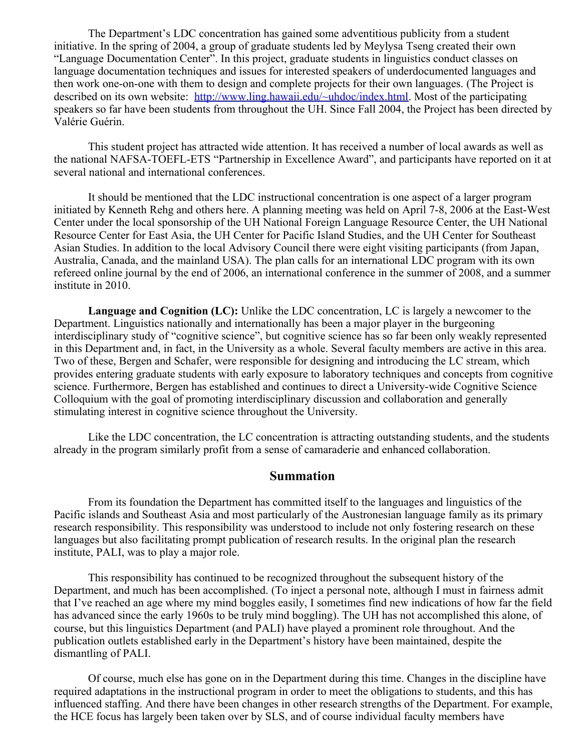The Department's LDC concentration has gained some adventitious publicity from a student initiative. In the spring of 2004, a group of graduate students led by Meylysa Tseng created their own "Language Documentation Center". In this project, graduate students in linguistics conduct classes on language documentation techniques and issues for interested speakers of underdocumented languages and then work one-on-one with them to design and complete projects for their own languages. (The Project is described on its own website: [http://www.ling.hawaii.edu/~uhdoc/index.html.](http://www.ling.hawaii.edu/~uhdoc/index.html) Most of the participating speakers so far have been students from throughout the UH. Since Fall 2004, the Project has been directed by Valérie Guérin.

This student project has attracted wide attention. It has received a number of local awards as well as the national NAFSA-TOEFL-ETS "Partnership in Excellence Award", and participants have reported on it at several national and international conferences.

It should be mentioned that the LDC instructional concentration is one aspect of a larger program initiated by Kenneth Rehg and others here. A planning meeting was held on April 7-8, 2006 at the East-West Center under the local sponsorship of the UH National Foreign Language Resource Center, the UH National Resource Center for East Asia, the UH Center for Pacific Island Studies, and the UH Center for Southeast Asian Studies. In addition to the local Advisory Council there were eight visiting participants (from Japan, Australia, Canada, and the mainland USA). The plan calls for an international LDC program with its own refereed online journal by the end of 2006, an international conference in the summer of 2008, and a summer institute in 2010.

**Language and Cognition (LC):** Unlike the LDC concentration, LC is largely a newcomer to the Department. Linguistics nationally and internationally has been a major player in the burgeoning interdisciplinary study of "cognitive science", but cognitive science has so far been only weakly represented in this Department and, in fact, in the University as a whole. Several faculty members are active in this area. Two of these, Bergen and Schafer, were responsible for designing and introducing the LC stream, which provides entering graduate students with early exposure to laboratory techniques and concepts from cognitive science. Furthermore, Bergen has established and continues to direct a University-wide Cognitive Science Colloquium with the goal of promoting interdisciplinary discussion and collaboration and generally stimulating interest in cognitive science throughout the University.

Like the LDC concentration, the LC concentration is attracting outstanding students, and the students already in the program similarly profit from a sense of camaraderie and enhanced collaboration.

## **Summation**

From its foundation the Department has committed itself to the languages and linguistics of the Pacific islands and Southeast Asia and most particularly of the Austronesian language family as its primary research responsibility. This responsibility was understood to include not only fostering research on these languages but also facilitating prompt publication of research results. In the original plan the research institute, PALI, was to play a major role.

This responsibility has continued to be recognized throughout the subsequent history of the Department, and much has been accomplished. (To inject a personal note, although I must in fairness admit that I've reached an age where my mind boggles easily, I sometimes find new indications of how far the field has advanced since the early 1960s to be truly mind boggling). The UH has not accomplished this alone, of course, but this linguistics Department (and PALI) have played a prominent role throughout. And the publication outlets established early in the Department's history have been maintained, despite the dismantling of PALI.

Of course, much else has gone on in the Department during this time. Changes in the discipline have required adaptations in the instructional program in order to meet the obligations to students, and this has influenced staffing. And there have been changes in other research strengths of the Department. For example, the HCE focus has largely been taken over by SLS, and of course individual faculty members have